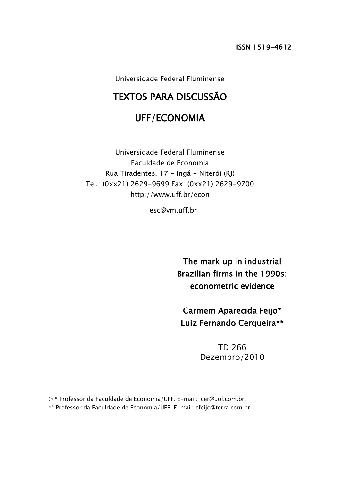Universidade Federal Fluminense

# TEXTOS PARA DISCUSSÃO

# UFF/ECONOMIA

Universidade Federal Fluminense Faculdade de Economia Rua Tiradentes, 17 - Ingá - Niterói (RJ) Tel.: (0xx21) 2629-9699 Fax: (0xx21) 2629-9700 <http://www.uff.br/>econ

esc@vm.uff.br

The mark up in industrial Brazilian firms in the 1990s: econometric evidence

Carmem Aparecida Feijo\* Luiz Fernando Cerqueira\*\*

> TD 266 Dezembro/2010

\* Professor da Faculdade de Economia/UFF. E-mail: lcer@uol.com.br.

\*\* Professor da Faculdade de Economia/UFF. E-mail: cfeijo@terra.com.br.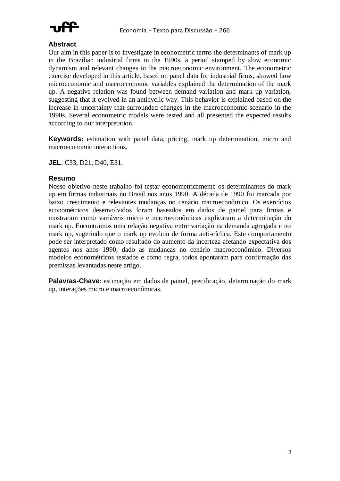

#### **Abstract**

Our aim in this paper is to investigate in econometric terms the determinants of mark up in the Brazilian industrial firms in the 1990s, a period stamped by slow economic dynamism and relevant changes in the macroeconomic environment. The econometric exercise developed in this article, based on panel data for industrial firms, showed how microeconomic and macroeconomic variables explained the determination of the mark up. A negative relation was found between demand variation and mark up variation, suggesting that it evolved in an anticyclic way. This behavior is explained based on the increase in uncertainty that surrounded changes in the macroeconomic scenario in the 1990s. Several econometric models were tested and all presented the expected results according to our interpretation.

**Keywords:** estimation with panel data, pricing, mark up determination, micro and macroeconomic interactions.

**JEL**: C33, D21, D40, E31.

#### **Resumo**

Nosso objetivo neste trabalho foi testar econometricamente os determinantes do mark up em firmas industriais no Brasil nos anos 1990. A década de 1990 foi marcada por baixo crescimento e relevantes mudanças no cenário macroeconômico. Os exercícios econométricos desenvolvidos foram baseados em dados de painel para firmas e mostraram como variáveis micro e macroeconômicas explicaram a determinação do mark up. Encontramos uma relação negativa entre variação na demanda agregada e no mark up, sugerindo que o mark up evoluiu de forma anti-cíclica. Este comportamento pode ser interpretado como resultado do aumento da incerteza afetando expectativa dos agentes nos anos 1990, dado as mudanças no cenário macroeconômico. Diversos modelos econométricos testados e como regra, todos apontaram para confirmação das premissas levantadas neste artigo.

**Palavras-Chave**: estimação em dados de painel, precificação, determinação do mark up, interações micro e macroeconômicas.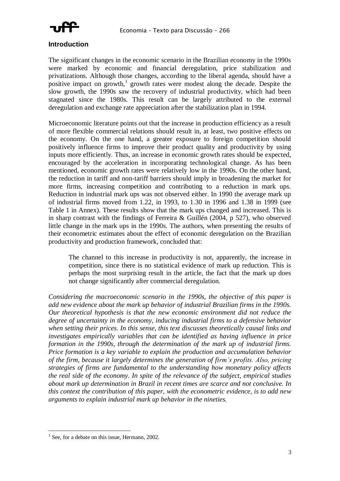

#### **Introduction**

The significant changes in the economic scenario in the Brazilian economy in the 1990s were marked by economic and financial deregulation, price stabilization and privatizations. Although those changes, according to the liberal agenda, should have a positive impact on growth,<sup>1</sup> growth rates were modest along the decade. Despite the slow growth, the 1990s saw the recovery of industrial productivity, which had been stagnated since the 1980s. This result can be largely attributed to the external deregulation and exchange rate appreciation after the stabilization plan in 1994.

Microeconomic literature points out that the increase in production efficiency as a result of more flexible commercial relations should result in, at least, two positive effects on the economy. On the one hand, a greater exposure to foreign competition should positively influence firms to improve their product quality and productivity by using inputs more efficiently. Thus, an increase in economic growth rates should be expected, encouraged by the acceleration in incorporating technological change. As has been mentioned, economic growth rates were relatively low in the 1990s. On the other hand, the reduction in tariff and non-tariff barriers should imply in broadening the market for more firms, increasing competition and contributing to a reduction in mark ups. Reduction in industrial mark ups was not observed either. In 1990 the average mark up of industrial firms moved from 1.22, in 1993, to 1.30 in 1996 and 1.38 in 1999 (see Table 1 in Annex). These results show that the mark ups changed and increased. This is in sharp contrast with the findings of Ferreira & Guillén (2004, p 527), who observed little change in the mark ups in the 1990s. The authors, when presenting the results of their econometric estimates about the effect of economic deregulation on the Brazilian productivity and production framework, concluded that:

The channel to this increase in productivity is not, apparently, the increase in competition, since there is no statistical evidence of mark up reduction. This is perhaps the most surprising result in the article, the fact that the mark up does not change significantly after commercial deregulation.

*Considering the macroeconomic scenario in the 1990s, the objective of this paper is add new evidence about the mark up behavior of industrial Brazilian firms in the 1990s. Our theoretical hypothesis is that the new economic environment did not reduce the degree of uncertainty in the economy, inducing industrial firms to a defensive behavior when setting their prices. In this sense, this text discusses theoretically causal links and investigates empirically variables that can be identified as having influence in price formation in the 1990s, through the determination of the mark up of industrial firms. Price formation is a key variable to explain the production and accumulation behavior of the firm, because it largely determines the generation of firm's profits. Also, pricing strategies of firms are fundamental to the understanding how monetary policy affects the real side of the economy. In spite of the relevance of the subject, empirical studies about mark up determination in Brazil in recent times are scarce and not conclusive. In this context the contribution of this paper, with the econometric evidence, is to add new arguments to explain industrial mark up behavior in the nineties.* 

<sup>&</sup>lt;sup>1</sup> See, for a debate on this issue, Hermann, 2002.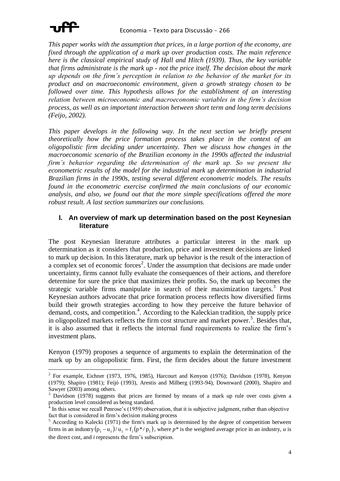

*This paper works with the assumption that prices, in a large portion of the economy, are fixed through the application of a mark up over production costs. The main reference here is the classical empirical study of Hall and Hitch (1939). Thus, the key variable that firms administrate is the mark up - not the price itself. The decision about the mark up depends on the firm's perception in relation to the behavior of the market for its product and on macroeconomic environment, given a growth strategy chosen to be followed over time. This hypothesis allows for the establishment of an interesting relation between microeconomic and macroeconomic variables in the firm's decision process, as well as an important interaction between short term and long term decisions (Feijo, 2002).*

*This paper develops in the following way. In the next section we briefly present theoretically how the price formation process takes place in the context of an oligopolistic firm deciding under uncertainty. Then we discuss how changes in the macroeconomic scenario of the Brazilian economy in the 1990s affected the industrial firm's behavior regarding the determination of the mark up. So we present the econometric results of the model for the industrial mark up determination in industrial Brazilian firms in the 1990s, testing several different econometric models. The results found in the econometric exercise confirmed the main conclusions of our economic analysis, and also, we found out that the more simple specifications offered the more robust result. A last section summarizes our conclusions.* 

#### **I. An overview of mark up determination based on the post Keynesian literature**

The post Keynesian literature attributes a particular interest in the mark up determination as it considers that production, price and investment decisions are linked to mark up decision. In this literature, mark up behavior is the result of the interaction of a complex set of economic forces<sup>2</sup>. Under the assumption that decisions are made under uncertainty, firms cannot fully evaluate the consequences of their actions, and therefore determine for sure the price that maximizes their profits. So, the mark up becomes the strategic variable firms manipulate in search of their maximization targets.<sup>3</sup> Post Keynesian authors advocate that price formation process reflects how diversified firms build their growth strategies according to how they perceive the future behavior of demand, costs, and competition.<sup>4</sup>. According to the Kaleckian tradition, the supply price in oligopolized markets reflects the firm cost structure and market power.<sup>5</sup>. Besides that, it is also assumed that it reflects the internal fund requirements to realize the firm's investment plans.

Kenyon (1979) proposes a sequence of arguments to explain the determination of the mark up by an oligopolistic firm. First, the firm decides about the future investment

<sup>&</sup>lt;sup>2</sup> For example, Eichner (1973, 1976, 1985), Harcourt and Kenyon (1976); Davidson (1978), Kenyon (1979); Shapiro (1981); Feijó (1993), Arestis and Milberg (1993-94), Downward (2000), Shapiro and Sawyer (2003) among others.

Davidson (1978) suggests that prices are formed by means of a mark up rule over costs given a production level considered as being standard.<br><sup>4</sup> In this cance we recall Dennese's (1050) short

In this sense we recall Penrose's (1959) observation, that it is subjective judgment, rather than objective fact that is considered in firm's decision making process

<sup>5</sup> According to Kalecki (1971) the firm's mark up is determined by the degree of competition between firms in an industry  $(p_i - u_i)/u_i = f_i(p^*/p_i)$ , where  $p^*$  is the weighted average price in an industry, *u* is the direct cost, and *i* represents the firm's subscription.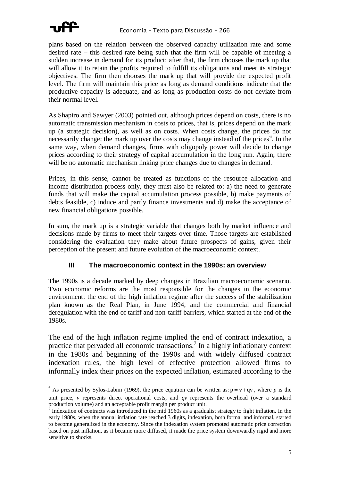

 $\overline{a}$ 

plans based on the relation between the observed capacity utilization rate and some desired rate – this desired rate being such that the firm will be capable of meeting a sudden increase in demand for its product; after that, the firm chooses the mark up that will allow it to retain the profits required to fulfill its obligations and meet its strategic objectives. The firm then chooses the mark up that will provide the expected profit level. The firm will maintain this price as long as demand conditions indicate that the productive capacity is adequate, and as long as production costs do not deviate from their normal level.

As Shapiro and Sawyer (2003) pointed out, although prices depend on costs, there is no automatic transmission mechanism in costs to prices, that is, prices depend on the mark up (a strategic decision), as well as on costs. When costs change, the prices do not necessarily change; the mark up over the costs may change instead of the prices<sup>6</sup>. In the same way, when demand changes, firms with oligopoly power will decide to change prices according to their strategy of capital accumulation in the long run. Again, there will be no automatic mechanism linking price changes due to changes in demand.

Prices, in this sense, cannot be treated as functions of the resource allocation and income distribution process only, they must also be related to: a) the need to generate funds that will make the capital accumulation process possible, b) make payments of debts feasible, c) induce and partly finance investments and d) make the acceptance of new financial obligations possible.

In sum, the mark up is a strategic variable that changes both by market influence and decisions made by firms to meet their targets over time. Those targets are established considering the evaluation they make about future prospects of gains, given their perception of the present and future evolution of the macroeconomic context.

## **III The macroeconomic context in the 1990s: an overview**

The 1990s is a decade marked by deep changes in Brazilian macroeconomic scenario. Two economic reforms are the most responsible for the changes in the economic environment: the end of the high inflation regime after the success of the stabilization plan known as the Real Plan, in June 1994, and the commercial and financial deregulation with the end of tariff and non-tariff barriers, which started at the end of the 1980s.

The end of the high inflation regime implied the end of contract indexation, a practice that pervaded all economic transactions.<sup>7</sup> In a highly inflationary context in the 1980s and beginning of the 1990s and with widely diffused contract indexation rules, the high level of effective protection allowed firms to informally index their prices on the expected inflation, estimated according to the

<sup>&</sup>lt;sup>6</sup> As presented by Sylos-Labini (1969), the price equation can be written as:  $p = v + qv$ , where *p* is the unit price, *v* represents direct operational costs, and  $\alpha v$  represents the overhead (over a standard production volume) and an acceptable profit margin per product unit.

 $\frac{1}{2}$  Indexation of contracts was introduced in the mid 1960s as a gradualist strategy to fight inflation. In the early 1980s, when the annual inflation rate reached 3 digits, indexation, both formal and informal, started to become generalized in the economy. Since the indexation system promoted automatic price correction based on past inflation, as it became more diffused, it made the price system downwardly rigid and more sensitive to shocks.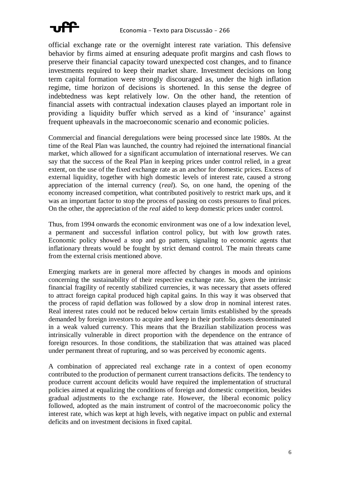

official exchange rate or the overnight interest rate variation. This defensive behavior by firms aimed at ensuring adequate profit margins and cash flows to preserve their financial capacity toward unexpected cost changes, and to finance investments required to keep their market share. Investment decisions on long term capital formation were strongly discouraged as, under the high inflation regime, time horizon of decisions is shortened. In this sense the degree of indebtedness was kept relatively low. On the other hand, the retention of financial assets with contractual indexation clauses played an important role in providing a liquidity buffer which served as a kind of 'insurance' against frequent upheavals in the macroeconomic scenario and economic policies.

Commercial and financial deregulations were being processed since late 1980s. At the time of the Real Plan was launched, the country had rejoined the international financial market, which allowed for a significant accumulation of international reserves. We can say that the success of the Real Plan in keeping prices under control relied, in a great extent, on the use of the fixed exchange rate as an anchor for domestic prices. Excess of external liquidity, together with high domestic levels of interest rate, caused a strong appreciation of the internal currency (*real*). So, on one hand, the opening of the economy increased competition, what contributed positively to restrict mark ups, and it was an important factor to stop the process of passing on costs pressures to final prices. On the other, the appreciation of the *real* aided to keep domestic prices under control.

Thus, from 1994 onwards the economic environment was one of a low indexation level, a permanent and successful inflation control policy, but with low growth rates. Economic policy showed a stop and go pattern, signaling to economic agents that inflationary threats would be fought by strict demand control. The main threats came from the external crisis mentioned above.

Emerging markets are in general more affected by changes in moods and opinions concerning the sustainability of their respective exchange rate. So, given the intrinsic financial fragility of recently stabilized currencies, it was necessary that assets offered to attract foreign capital produced high capital gains. In this way it was observed that the process of rapid deflation was followed by a slow drop in nominal interest rates. Real interest rates could not be reduced below certain limits established by the spreads demanded by foreign investors to acquire and keep in their portfolio assets denominated in a weak valued currency. This means that the Brazilian stabilization process was intrinsically vulnerable in direct proportion with the dependence on the entrance of foreign resources. In those conditions, the stabilization that was attained was placed under permanent threat of rupturing, and so was perceived by economic agents.

A combination of appreciated real exchange rate in a context of open economy contributed to the production of permanent current transactions deficits. The tendency to produce current account deficits would have required the implementation of structural policies aimed at equalizing the conditions of foreign and domestic competition, besides gradual adjustments to the exchange rate. However, the liberal economic policy followed, adopted as the main instrument of control of the macroeconomic policy the interest rate, which was kept at high levels, with negative impact on public and external deficits and on investment decisions in fixed capital.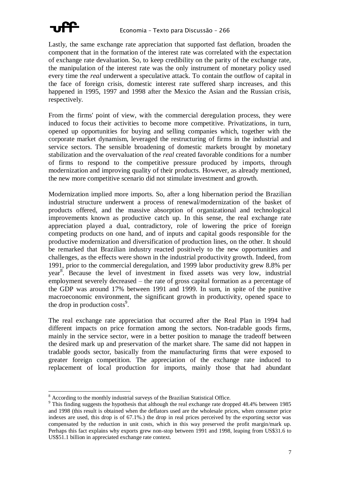

Lastly, the same exchange rate appreciation that supported fast deflation, broaden the component that in the formation of the interest rate was correlated with the expectation of exchange rate devaluation. So, to keep credibility on the parity of the exchange rate, the manipulation of the interest rate was the only instrument of monetary policy used every time the *real* underwent a speculative attack. To contain the outflow of capital in the face of foreign crisis, domestic interest rate suffered sharp increases, and this happened in 1995, 1997 and 1998 after the Mexico the Asian and the Russian crisis, respectively.

From the firms' point of view, with the commercial deregulation process, they were induced to focus their activities to become more competitive. Privatizations, in turn, opened up opportunities for buying and selling companies which, together with the corporate market dynamism, leveraged the restructuring of firms in the industrial and service sectors. The sensible broadening of domestic markets brought by monetary stabilization and the overvaluation of the *real* created favorable conditions for a number of firms to respond to the competitive pressure produced by imports, through modernization and improving quality of their products. However, as already mentioned, the new more competitive scenario did not stimulate investment and growth.

Modernization implied more imports. So, after a long hibernation period the Brazilian industrial structure underwent a process of renewal/modernization of the basket of products offered, and the massive absorption of organizational and technological improvements known as productive catch up. In this sense, the real exchange rate appreciation played a dual, contradictory, role of lowering the price of foreign competing products on one hand, and of inputs and capital goods responsible for the productive modernization and diversification of production lines, on the other. It should be remarked that Brazilian industry reacted positively to the new opportunities and challenges, as the effects were shown in the industrial productivity growth. Indeed, from 1991, prior to the commercial deregulation, and 1999 labor productivity grew 8.8% per year 8 . Because the level of investment in fixed assets was very low, industrial employment severely decreased – the rate of gross capital formation as a percentage of the GDP was around 17% between 1991 and 1999. In sum, in spite of the punitive macroeconomic environment, the significant growth in productivity, opened space to the drop in production  $costs<sup>9</sup>$ .

The real exchange rate appreciation that occurred after the Real Plan in 1994 had different impacts on price formation among the sectors. Non-tradable goods firms, mainly in the service sector, were in a better position to manage the tradeoff between the desired mark up and preservation of the market share. The same did not happen in tradable goods sector, basically from the manufacturing firms that were exposed to greater foreign competition. The appreciation of the exchange rate induced to replacement of local production for imports, mainly those that had abundant

 $\overline{a}$ <sup>8</sup> According to the monthly industrial surveys of the Brazilian Statistical Office.

<sup>&</sup>lt;sup>9</sup> This finding suggests the hypothesis that although the real exchange rate dropped 48.4% between 1985 and 1998 (this result is obtained when the deflators used are the wholesale prices, when consumer price indexes are used, this drop is of 67.1%.) the drop in real prices perceived by the exporting sector was compensated by the reduction in unit costs, which in this way preserved the profit margin/mark up. Perhaps this fact explains why exports grew non-stop between 1991 and 1998, leaping from US\$31.6 to US\$51.1 billion in appreciated exchange rate context.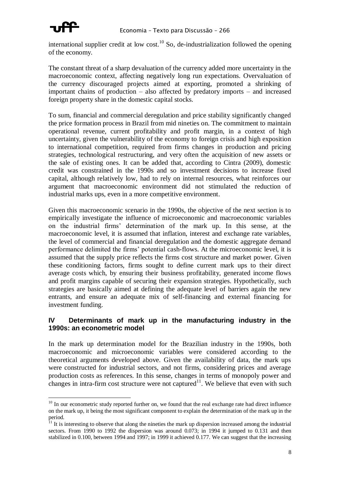

international supplier credit at low cost.<sup>10</sup> So, de-industrialization followed the opening of the economy.

The constant threat of a sharp devaluation of the currency added more uncertainty in the macroeconomic context, affecting negatively long run expectations. Overvaluation of the currency discouraged projects aimed at exporting, promoted a shrinking of important chains of production – also affected by predatory imports – and increased foreign property share in the domestic capital stocks.

To sum, financial and commercial deregulation and price stability significantly changed the price formation process in Brazil from mid nineties on. The commitment to maintain operational revenue, current profitability and profit margin, in a context of high uncertainty, given the vulnerability of the economy to foreign crisis and high exposition to international competition, required from firms changes in production and pricing strategies, technological restructuring, and very often the acquisition of new assets or the sale of existing ones. It can be added that, according to Cintra (2009), domestic credit was constrained in the 1990s and so investment decisions to increase fixed capital, although relatively low, had to rely on internal resources, what reinforces our argument that macroeconomic environment did not stimulated the reduction of industrial marks ups, even in a more competitive environment.

Given this macroeconomic scenario in the 1990s, the objective of the next section is to empirically investigate the influence of microeconomic and macroeconomic variables on the industrial firms' determination of the mark up. In this sense, at the macroeconomic level, it is assumed that inflation, interest and exchange rate variables, the level of commercial and financial deregulation and the domestic aggregate demand performance delimited the firms' potential cash-flows. At the microeconomic level, it is assumed that the supply price reflects the firms cost structure and market power. Given these conditioning factors, firms sought to define current mark ups to their direct average costs which, by ensuring their business profitability, generated income flows and profit margins capable of securing their expansion strategies. Hypothetically, such strategies are basically aimed at defining the adequate level of barriers again the new entrants, and ensure an adequate mix of self-financing and external financing for investment funding.

#### **IV Determinants of mark up in the manufacturing industry in the 1990s: an econometric model**

In the mark up determination model for the Brazilian industry in the 1990s, both macroeconomic and microeconomic variables were considered according to the theoretical arguments developed above. Given the availability of data, the mark ups were constructed for industrial sectors, and not firms, considering prices and average production costs as references. In this sense, changes in terms of monopoly power and changes in intra-firm cost structure were not captured<sup>11</sup>. We believe that even with such

 $\overline{a}$  $10$  In our econometric study reported further on, we found that the real exchange rate had direct influence on the mark up, it being the most significant component to explain the determination of the mark up in the period.<br><sup>11</sup>

<sup>11</sup> It is interesting to observe that along the nineties the mark up dispersion increased among the industrial sectors. From 1990 to 1992 the dispersion was around 0.073; in 1994 it jumped to 0.131 and then stabilized in 0.100, between 1994 and 1997; in 1999 it achieved 0.177. We can suggest that the increasing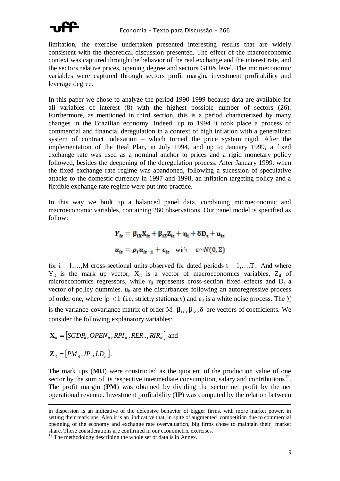

limitation, the exercise undertaken presented interesting results that are widely consistent with the theoretical discussion presented. The effect of the macroeconomic context was captured through the behavior of the real exchange and the interest rate, and the sectors relative prices, opening degree and sectors GDPs level. The microeconomic variables were captured through sectors profit margin, investment profitability and leverage degree.

In this paper we chose to analyze the period 1990-1999 because data are available for all variables of interest (8) with the highest possible number of sectors (26). Furthermore, as mentioned in third section, this is a period characterized by many changes in the Brazilian economy. Indeed, up to 1994 it took place a process of commercial and financial deregulation in a context of high inflation with a generalized system of contract indexation – which turned the price system rigid. After the implementation of the Real Plan, in July 1994, and up to January 1999, a fixed exchange rate was used as a nominal anchor to prices and a rigid monetary policy followed, besides the deepening of the deregulation process. After January 1999, when the fixed exchange rate regime was abandoned, following a sucession of speculative attacks to the domestic currency in 1997 and 1998, an inflation targeting policy and a flexible exchange rate regime were put into practice.

In this way we built up a balanced panel data, combining microeconomic and macroeconomic variables, containing 260 observations. Our panel model is specified as follow:

$$
Y_{it} = \beta_{iX}X_{it} + \beta_{iZ}Z_{it} + \eta_i + \delta D_t + u_{it}
$$
  

$$
u_{it} = \rho_i u_{it-1} + \epsilon_{it} \text{ with } \epsilon \sim N(0, \Sigma)
$$

for  $i = 1,...,M$  cross-sectional units observed for dated periods  $t = 1,...,T$ . And where  $Y_{it}$  is the mark up vector,  $X_{it}$  is a vector of macroeconomics variables,  $Z_{it}$  of microeconomics regressors, while  $\eta_i$  represents cross-section fixed effects and  $D_t$  a vector of policy dummies.  $u_{it}$  are the disturbances following an autoregressive process of order one, where  $|\rho| < 1$  (i.e. strictly stationary) and  $\varepsilon_{it}$  is a white noise process. The  $\Sigma$ is the variance-covariance matrix of order M.  $\beta_{iX}$ ,  $\beta_{iZ}$ ,  $\delta$  are vectors of coefficients. We consider the following explanatory variables:

$$
\mathbf{X}_{it} = [SGDP_{it}, OPEN_{it}, RPI_{it}, RER_{it}, RIR_{it}] \text{ and}
$$

$$
\mathbf{Z}_{it} = [PM_{it}, IP_{it}, LD_{it}].
$$

 $\overline{a}$ 

The mark ups (**MU**) were constructed as the quotient of the production value of one sector by the sum of its respective intermediate consumption, salary and contributions<sup>12</sup>. The profit margin (**PM**) was obtained by dividing the sector net profit by the net operational revenue. Investment profitability (**IP**) was computed by the relation between

 $12$  The methodology describing the whole set of data is in Annex.

in dispersion is an indicative of the defensive behavior of bigger firms, with more market power, in setting their mark ups. Also it is an indicative that, in spite of augmented competition due to commercial openning of the economy and exchange rate overvaluation, big firms chose to maintain their market share. These considerations are confirmed in our econometric exercises.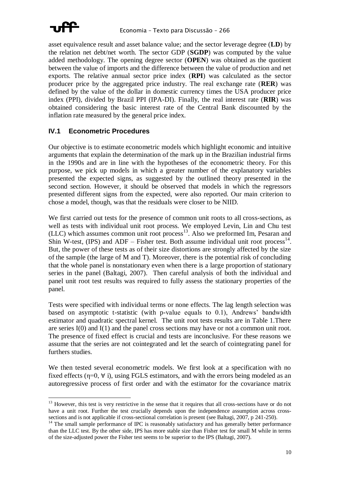

 $\overline{a}$ 

asset equivalence result and asset balance value; and the sector leverage degree (**LD**) by the relation net debt/net worth. The sector GDP (**SGDP**) was computed by the value added methodology. The opening degree sector (**OPEN**) was obtained as the quotient between the value of imports and the difference between the value of production and net exports. The relative annual sector price index (**RPI**) was calculated as the sector producer price by the aggregated price industry. The real exchange rate (**RER**) was defined by the value of the dollar in domestic currency times the USA producer price index (PPI), divided by Brazil PPI (IPA-DI). Finally, the real interest rate (**RIR**) was obtained considering the basic interest rate of the Central Bank discounted by the inflation rate measured by the general price index.

#### **IV.1 Econometric Procedures**

Our objective is to estimate econometric models which highlight economic and intuitive arguments that explain the determination of the mark up in the Brazilian industrial firms in the 1990s and are in line with the hypotheses of the econometric theory. For this purpose, we pick up models in which a greater number of the explanatory variables presented the expected signs, as suggested by the outlined theory presented in the second section. However, it should be observed that models in which the regressors presented different signs from the expected, were also reported. Our main criterion to chose a model, though, was that the residuals were closer to be NIID.

We first carried out tests for the presence of common unit roots to all cross-sections, as well as tests with individual unit root process. We employed Levin, Lin and Chu test (LLC) which assumes common unit root process<sup>13</sup>. Also we preformed Im, Pesaran and Shin W-test, (IPS) and ADF – Fisher test. Both assume individual unit root process<sup>14</sup>. But, the power of these tests as of their size distortions are strongly affected by the size of the sample (the large of M and T). Moreover, there is the potential risk of concluding that the whole panel is nonstationary even when there is a large proportion of stationary series in the panel (Baltagi, 2007). Then careful analysis of both the individual and panel unit root test results was required to fully assess the stationary properties of the panel.

Tests were specified with individual terms or none effects. The lag length selection was based on asymptotic t-statistic (with p-value equals to 0.1), Andrews' bandwidth estimator and quadratic spectral kernel. The unit root tests results are in Table 1.There are series I(0) and I(1) and the panel cross sections may have or not a common unit root. The presence of fixed effect is crucial and tests are inconclusive. For these reasons we assume that the series are not cointegrated and let the search of cointegrating panel for furthers studies.

We then tested several econometric models. We first look at a specification with no fixed effects ( $\eta$ =0,  $\forall$  i), using FGLS estimators, and with the errors being modeled as an autoregressive process of first order and with the estimator for the covariance matrix

<sup>&</sup>lt;sup>13</sup> However, this test is very restrictive in the sense that it requires that all cross-sections have or do not have a unit root. Further the test crucially depends upon the independence assumption across crosssections and is not applicable if cross-sectional correlation is present (see Baltagi, 2007, p 241-250).

<sup>&</sup>lt;sup>14</sup> The small sample performance of IPC is reasonably satisfactory and has generally better performance than the LLC test. By the other side, IPS has more stable size than Fisher test for small M while in terms of the size-adjusted power the Fisher test seems to be superior to the IPS (Baltagi, 2007).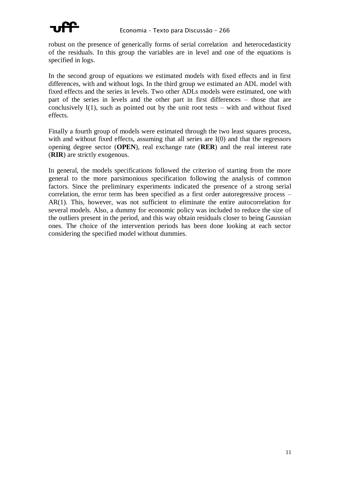

robust on the presence of generically forms of serial correlation and heterocedasticity of the residuals. In this group the variables are in level and one of the equations is specified in logs.

In the second group of equations we estimated models with fixed effects and in first differences, with and without logs. In the third group we estimated an ADL model with fixed effects and the series in levels. Two other ADLs models were estimated, one with part of the series in levels and the other part in first differences – those that are conclusively  $I(1)$ , such as pointed out by the unit root tests – with and without fixed effects.

Finally a fourth group of models were estimated through the two least squares process, with and without fixed effects, assuming that all series are  $I(0)$  and that the regressors opening degree sector (**OPEN**), real exchange rate (**RER**) and the real interest rate (**RIR**) are strictly exogenous.

In general, the models specifications followed the criterion of starting from the more general to the more parsimonious specification following the analysis of common factors. Since the preliminary experiments indicated the presence of a strong serial correlation, the error term has been specified as a first order autoregressive process – AR(1). This, however, was not sufficient to eliminate the entire autocorrelation for several models. Also, a dummy for economic policy was included to reduce the size of the outliers present in the period, and this way obtain residuals closer to being Gaussian ones. The choice of the intervention periods has been done looking at each sector considering the specified model without dummies.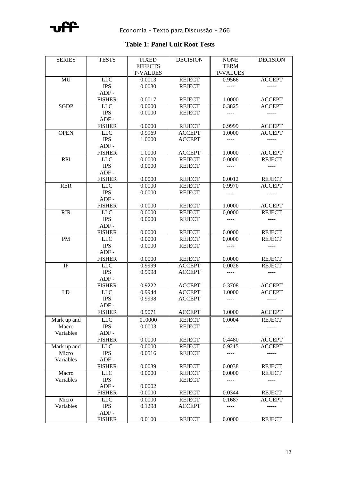

## **Table 1: Panel Unit Root Tests**

| <b>SERIES</b>   | <b>TESTS</b>  | <b>FIXED</b>    | <b>DECISION</b> | <b>NONE</b>           | <b>DECISION</b> |
|-----------------|---------------|-----------------|-----------------|-----------------------|-----------------|
|                 |               | <b>EFFECTS</b>  |                 | <b>TERM</b>           |                 |
|                 |               | <b>P-VALUES</b> |                 | <b>P-VALUES</b>       |                 |
| MU              | <b>LLC</b>    | 0.0013          | <b>REJECT</b>   | 0.9566                | <b>ACCEPT</b>   |
|                 | <b>IPS</b>    | 0.0030          | <b>REJECT</b>   | $---$                 | -----           |
|                 | $ADF -$       |                 |                 |                       |                 |
|                 | <b>FISHER</b> | 0.0017          | <b>REJECT</b>   | 1.0000                | <b>ACCEPT</b>   |
| <b>SGDP</b>     | <b>LLC</b>    | 0.0000          | <b>REJECT</b>   | 0.3825                | <b>ACCEPT</b>   |
|                 | <b>IPS</b>    | 0.0000          | <b>REJECT</b>   | $\cdots$              | $- - - - -$     |
|                 | $ADF -$       |                 |                 |                       |                 |
|                 | <b>FISHER</b> | 0.0000          | <b>REJECT</b>   | 0.9999                | <b>ACCEPT</b>   |
| <b>OPEN</b>     | <b>LLC</b>    | 0.9969          | <b>ACCEPT</b>   | 1.0000                | <b>ACCEPT</b>   |
|                 | <b>IPS</b>    | 1.0000          | <b>ACCEPT</b>   | $\qquad \qquad - - -$ | $- - - - -$     |
|                 | $ADF -$       |                 |                 |                       |                 |
|                 | <b>FISHER</b> | 1.0000          | <b>ACCEPT</b>   | 1.0000                | <b>ACCEPT</b>   |
| <b>RPI</b>      | <b>LLC</b>    | 0.0000          | <b>REJECT</b>   | 0.0000                | <b>REJECT</b>   |
|                 | <b>IPS</b>    | 0.0000          | <b>REJECT</b>   | $---$                 |                 |
|                 | $ADF -$       |                 |                 |                       |                 |
|                 | <b>FISHER</b> | 0.0000          | <b>REJECT</b>   | 0.0012                | <b>REJECT</b>   |
| <b>RER</b>      | LLC           | 0.0000          | <b>REJECT</b>   | 0.9970                | <b>ACCEPT</b>   |
|                 | <b>IPS</b>    | 0.0000          | <b>REJECT</b>   | ----                  | -----           |
|                 | $ADF -$       |                 |                 |                       |                 |
|                 | <b>FISHER</b> | 0.0000          |                 |                       |                 |
|                 | <b>LLC</b>    |                 | <b>REJECT</b>   | 1.0000                | <b>ACCEPT</b>   |
| <b>RIR</b>      |               | 0.0000          | <b>REJECT</b>   | 0,0000                | <b>REJECT</b>   |
|                 | <b>IPS</b>    | 0.0000          | <b>REJECT</b>   |                       |                 |
|                 | $ADF -$       |                 |                 |                       |                 |
|                 | <b>FISHER</b> | 0.0000          | <b>REJECT</b>   | 0.0000                | <b>REJECT</b>   |
| $\overline{PM}$ | <b>LLC</b>    | 0.0000          | <b>REJECT</b>   | 0,0000                | <b>REJECT</b>   |
|                 | <b>IPS</b>    | 0.0000          | <b>REJECT</b>   |                       |                 |
|                 | $ADF -$       |                 |                 |                       |                 |
|                 | <b>FISHER</b> | 0.0000          | <b>REJECT</b>   | 0.0000                | <b>REJECT</b>   |
| IP              | <b>LLC</b>    | 0.9999          | <b>ACCEPT</b>   | 0.0026                | <b>REJECT</b>   |
|                 | <b>IPS</b>    | 0.9998          | <b>ACCEPT</b>   | ----                  | $---$           |
|                 | $ADF -$       |                 |                 |                       |                 |
|                 | <b>FISHER</b> | 0.9222          | <b>ACCEPT</b>   | 0.3708                | <b>ACCEPT</b>   |
| LD              | <b>LLC</b>    | 0.9944          | <b>ACCEPT</b>   | 1.0000                | <b>ACCEPT</b>   |
|                 | <b>IPS</b>    | 0.9998          | <b>ACCEPT</b>   | $\frac{1}{2}$         | $- - - - -$     |
|                 | $ADF -$       |                 |                 |                       |                 |
|                 | <b>FISHER</b> | 0.9071          | <b>ACCEPT</b>   | 1.0000                | <b>ACCEPT</b>   |
| Mark up and     | <b>LLC</b>    | 00000           | <b>REJECT</b>   | 0.0004                | <b>REJECT</b>   |
| Macro           | <b>IPS</b>    | 0.0003          | <b>REJECT</b>   | ----                  | -----           |
| Variables       | $ADF -$       |                 |                 |                       |                 |
|                 | <b>FISHER</b> | 0.0000          | <b>REJECT</b>   | 0.4480                | <b>ACCEPT</b>   |
| Mark up and     | <b>LLC</b>    | 0.0000          | <b>REJECT</b>   | 0.9215                | <b>ACCEPT</b>   |
| Micro           | <b>IPS</b>    | 0.0516          | <b>REJECT</b>   | ----                  | -----           |
| Variables       | $ADF -$       |                 |                 |                       |                 |
|                 | <b>FISHER</b> | 0.0039          | <b>REJECT</b>   | 0.0038                | <b>REJECT</b>   |
| Macro           | <b>LLC</b>    | 0.0000          | <b>REJECT</b>   | 0.0000                | <b>REJECT</b>   |
| Variables       | <b>IPS</b>    |                 | <b>REJECT</b>   | ----                  | $---$           |
|                 | $ADF -$       | 0.0002          |                 |                       |                 |
|                 | <b>FISHER</b> | 0.0000          | <b>REJECT</b>   | 0.0344                | <b>REJECT</b>   |
| Micro           | <b>LLC</b>    | 0.0000          | <b>REJECT</b>   | 0.1687                | <b>ACCEPT</b>   |
| Variables       | <b>IPS</b>    | 0.1298          | <b>ACCEPT</b>   |                       | $--- - -$       |
|                 | $ADF -$       |                 |                 |                       |                 |
|                 | <b>FISHER</b> | 0.0100          | <b>REJECT</b>   | 0.0000                | <b>REJECT</b>   |
|                 |               |                 |                 |                       |                 |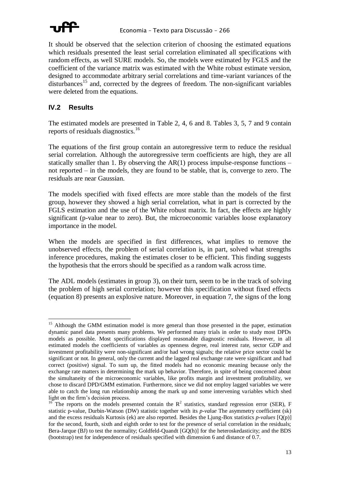

It should be observed that the selection criterion of choosing the estimated equations which residuals presented the least serial correlation eliminated all specifications with random effects, as well SURE models. So, the models were estimated by FGLS and the coefficient of the variance matrix was estimated with the White robust estimate version, designed to accommodate arbitrary serial correlations and time-variant variances of the  $disturbances<sup>15</sup>$  and, corrected by the degrees of freedom. The non-significant variables were deleted from the equations.

### **IV.2 Results**

The estimated models are presented in Table 2, 4, 6 and 8. Tables 3, 5, 7 and 9 contain reports of residuals diagnostics.<sup>16</sup>

The equations of the first group contain an autoregressive term to reduce the residual serial correlation. Although the autoregressive term coefficients are high, they are all statically smaller than 1. By observing the AR(1) process impulse-response functions – not reported – in the models, they are found to be stable, that is, converge to zero. The residuals are near Gaussian.

The models specified with fixed effects are more stable than the models of the first group, however they showed a high serial correlation, what in part is corrected by the FGLS estimation and the use of the White robust matrix. In fact, the effects are highly significant (p-value near to zero). But, the microeconomic variables loose explanatory importance in the model.

When the models are specified in first differences, what implies to remove the unobserved effects, the problem of serial correlation is, in part, solved what strengths inference procedures, making the estimates closer to be efficient. This finding suggests the hypothesis that the errors should be specified as a random walk across time.

The ADL models (estimates in group 3), on their turn, seem to be in the track of solving the problem of high serial correlation; however this specification without fixed effects (equation 8) presents an explosive nature. Moreover, in equation 7, the signs of the long

 $\overline{a}$ <sup>15</sup> Although the GMM estimation model is more general than those presented in the paper, estimation dynamic panel data presents many problems. We performed many trials in order to study most DPDs models as possible. Most specifications displayed reasonable diagnostic residuals. However, in all estimated models the coefficients of variables as openness degree, real interest rate, sector GDP and investment profitability were non-significant and/or had wrong signals; the relative price sector could be significant or not. In general, only the current and the lagged real exchange rate were significant and had correct (positive) signal. To sum up, the fitted models had no economic meaning because only the exchange rate matters in determining the mark up behavior. Therefore, in spite of being concerned about the simultaneity of the microeconomic variables, like profits margin and investment profitability, we chose to discard DPD/GMM estimation. Furthermore, since we did not employ lagged variables we were able to catch the long run relationship among the mark up and some intervening variables which shed light on the firm's decision process.

<sup>&</sup>lt;sup>16</sup> The reports on the models presented contain the  $R^2$  statistics, standard regression error (SER), F statistic p-value, Durbin-Watson (DW) statistic together with its *p-value* The asymmetry coefficient (sk) and the excess residuals Kurtosis (ek) are also reported. Besides the Ljung-Box statistics *p-values* [Q(p)] for the second, fourth, sixth and eighth order to test for the presence of serial correlation in the residuals; Bera-Jarque (BJ) to test the normality; Goldfeld-Quandt [GQ(h)] for the heteroskedasticity; and the BDS (bootstrap) test for independence of residuals specified with dimension 6 and distance of 0.7.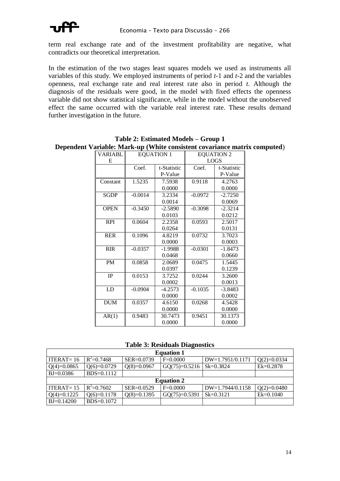term real exchange rate and of the investment profitability are negative, what contradicts our theoretical interpretation.

In the estimation of the two stages least squares models we used as instruments all variables of this study. We employed instruments of period *t*-1 and *t*-2 and the variables openness, real exchange rate and real interest rate also in period *t*. Although the diagnosis of the residuals were good, in the model with fixed effects the openness variable did not show statistical significance, while in the model without the unobserved effect the same occurred with the variable real interest rate. These results demand further investigation in the future.

| VARIABL     | <b>EQUATION 1</b> |             | <b>EQUATION 2</b> |             |  |  |
|-------------|-------------------|-------------|-------------------|-------------|--|--|
| E           |                   |             |                   | LOGS        |  |  |
|             | Coef.             | t-Statistic | Coef.             | t-Statistic |  |  |
|             |                   | P-Value     |                   | P-Value     |  |  |
| Constant    | 1.5235            | 7.5938      | 0.9118            | 4.2763      |  |  |
|             |                   | 0.0000      |                   | 0.0000      |  |  |
| <b>SGDP</b> | $-0.0014$         | 3.2334      | $-0.0972$         | $-2.7250$   |  |  |
|             |                   | 0.0014      |                   | 0.0069      |  |  |
| <b>OPEN</b> | $-0.3450$         | $-2.5890$   | $-0.3098$         | $-2.3214$   |  |  |
|             |                   | 0.0103      |                   | 0.0212      |  |  |
| <b>RPI</b>  | 0.0604            | 2.2358      | 0.0593            | 2.5017      |  |  |
|             |                   | 0.0264      |                   | 0.0131      |  |  |
| <b>RER</b>  | 0.1096            | 4.8219      | 0.0732            | 3.7023      |  |  |
|             |                   | 0.0000      |                   | 0.0003      |  |  |
| <b>RIR</b>  | $-0.0357$         | $-1.9988$   | $-0.0301$         | $-1.8473$   |  |  |
|             |                   | 0.0468      |                   | 0.0660      |  |  |
| <b>PM</b>   | 0.0858            | 2.0689      | 0.0475            | 1.5445      |  |  |
|             |                   | 0.0397      |                   | 0.1239      |  |  |
| IP          | 0.0153            | 3.7252      | 0.0244            | 3.2600      |  |  |
|             |                   | 0.0002      |                   | 0.0013      |  |  |
| LD          | $-0.0904$         | $-4.2573$   | $-0.1035$         | $-3.8483$   |  |  |
|             |                   | 0.0000      |                   | 0.0002      |  |  |
| <b>DUM</b>  | 0.0357            | 4.6150      | 0.0268            | 4.5428      |  |  |
|             |                   | 0.0000      |                   | 0.0000      |  |  |
| AR(1)       | 0.9483            | 30.7473     | 0.9451            | 30.1373     |  |  |
|             |                   | 0.0000      |                   | 0.0000      |  |  |

**Table 2: Estimated Models – Group 1 Dependent Variable: Mark-up (White consistent covariance matrix computed**)

**Table 3: Residuals Diagnostics**

| <b>Equation 1</b> |                |               |                   |                    |               |  |  |  |
|-------------------|----------------|---------------|-------------------|--------------------|---------------|--|--|--|
| ITERAT= $16$      | $R^2 = 0.7468$ | SER=0.0739    | $F=0.0000$        | DW=1.7951/0.1171   | $Q(2)=0.0334$ |  |  |  |
| $Q(4)=0.0865$     | $Q(6)=0.0729$  | $Q(8)=0.0967$ | $GQ(75)=0.5216$   | $Sk = 0.3824$      | $Ek = 0.2878$ |  |  |  |
| $BJ = 0.0386$     | BDS=0.1112     |               |                   |                    |               |  |  |  |
|                   |                |               | <b>Equation 2</b> |                    |               |  |  |  |
| ITERAT= $15$      | $R^2=0.7602$   | SER=0.0529    | $F=0.0000$        | $DW=1.7944/0.1158$ | $Q(2)=0.0480$ |  |  |  |
| $Q(4)=0.1225$     | $Q(6)=0.1178$  | $Q(8)=0.1395$ | $GQ(75)=0.5391$   | $Sk = 0.3121$      | $Ek=0.1040$   |  |  |  |
| $BJ=0.14200$      | $BDS=0.1072$   |               |                   |                    |               |  |  |  |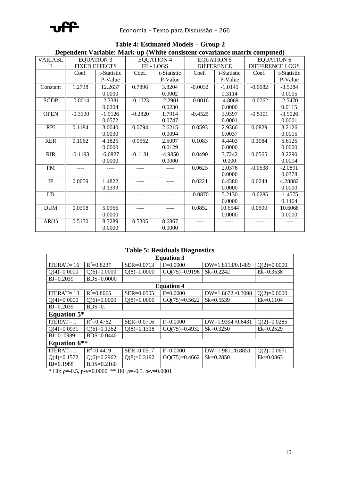

| Dependent Variable: Mark-up (White consistent covariance matrix computed) |           |                      |           |                   |                   |             |                        |             |  |  |
|---------------------------------------------------------------------------|-----------|----------------------|-----------|-------------------|-------------------|-------------|------------------------|-------------|--|--|
| <b>VARIABL</b>                                                            |           | <b>EQUATION 3</b>    |           | <b>EQUATION 4</b> | <b>EQUATION 5</b> |             | <b>EQUATION 6</b>      |             |  |  |
| E                                                                         |           | <b>FIXED EFFECTS</b> |           | FE-LOGS           | <b>DIFFERENCE</b> |             | <b>DIFFERENCE LOGS</b> |             |  |  |
|                                                                           | Coef.     | t-Statistic          | Coef.     | t-Statistic       | Coef.             | t-Statistic | Coef.                  | t-Statistic |  |  |
|                                                                           |           | P-Value              |           | P-Value           |                   | P-Value     |                        | P-Value     |  |  |
| Constant                                                                  | 1.2738    | 12.2637              | 0.7896    | 3.8204            | $-0.0032$         | $-1.0145$   | $-0.0082$              | $-3.5284$   |  |  |
|                                                                           |           | 0.0000               |           | 0.0002            |                   | 0.3114      |                        | 0.0005      |  |  |
| <b>SGDP</b>                                                               | $-0.0014$ | $-2.3381$            | $-0.1023$ | $-2.2901$         | $-0.0016$         | $-4.8069$   | $-0.0762$              | $-2.5470$   |  |  |
|                                                                           |           | 0.0204               |           | 0.0230            |                   | 0.0000      |                        | 0.0115      |  |  |
| <b>OPEN</b>                                                               | $-0.3130$ | $-1.9126$            | $-0.2820$ | 1.7914            | $-0.4525$         | 3.9397      | $-0.5101$              | $-3.9026$   |  |  |
|                                                                           |           | 0.0572               |           | 0.0747            |                   | 0.0001      |                        | 0.0001      |  |  |
| <b>RPI</b>                                                                | 0.1184    | 3.0040               | 0.0794    | 2.6215            | 0.0593            | 2.9366      | 0.0829                 | 3.2126      |  |  |
|                                                                           |           | 0.0030               |           | 0.0094            |                   | 0.0037      |                        | 0.0015      |  |  |
| <b>RER</b>                                                                | 0.1062    | 4.1825               | 0.0562    | 2.5097            | 0.1083            | 4.4403      | 0.1084                 | 5.6125      |  |  |
|                                                                           |           | 0.0000               |           | 0.0129            |                   | 0.0000      |                        | 0.0000      |  |  |
| <b>RIR</b>                                                                | $-0.1193$ | $-6.6827$            | $-0.1131$ | $-4.9850$         | 0.0490            | 3.7242      | 0.0565                 | 3.2290      |  |  |
|                                                                           |           | 0.0000               |           | 0.0000            |                   | 0.000       |                        | 0.0014      |  |  |
| PM                                                                        |           |                      |           |                   | 0.0623            | 2.0376      | $-0.0538$              | $-2.0891$   |  |  |
|                                                                           |           |                      |           |                   |                   | 0.0000      |                        | 0.0378      |  |  |
| <b>IP</b>                                                                 | 0.0059    | 1.4822               |           | ----              | 0.0221            | 6.4380      | 0.0244                 | 4.28882     |  |  |
|                                                                           |           | 0.1399               |           |                   |                   | 0.0000      |                        | 0.0000      |  |  |
| LD                                                                        |           |                      | ----      | ----              | $-0.0870$         | 5.2130      | $-0.0285$              | $-1.4575$   |  |  |
|                                                                           |           |                      |           |                   |                   | 0.0000      |                        | 0.1464      |  |  |
| <b>DUM</b>                                                                | 0.0398    | 5.0966               |           |                   | 0.0852            | 10.6544     | 0.0590                 | 10.6068     |  |  |
|                                                                           |           | 0.0000               |           |                   |                   | 0.0000      |                        | 0.0000      |  |  |
| AR(1)                                                                     | 0.5150    | 8.3289               | 0.5305    | 8.6867            | ----              |             | ----                   |             |  |  |
|                                                                           |           | 0.0000               |           | 0.0000            |                   |             |                        |             |  |  |

**Table 4: Estimated Models – Group 2 Dependent Variable: Mark-up (White consistent covariance matrix computed)**

## **Table 5: Residuals Diagnostics**

| <b>Equation 3</b>   |                |                |                 |                    |               |  |  |  |  |
|---------------------|----------------|----------------|-----------------|--------------------|---------------|--|--|--|--|
| ITERAT $=$ 16       | $R^2 = 0.8237$ | SER=0.0713     | $F=0.0000$      | DW=1.8113/0.1489   | $Q(2)=0.0000$ |  |  |  |  |
| $Q(4)=0.0000$       | $Q(6)=0.0000$  | $Q(8)=0.0000$  | $GQ(75)=0.9196$ | $Sk = 0.2242$      | $Ek=0.3538$   |  |  |  |  |
| $BJ=0.2039$         | $BDS = 0.0000$ |                |                 |                    |               |  |  |  |  |
| <b>Equation 4</b>   |                |                |                 |                    |               |  |  |  |  |
| $ITERAT = 13$       | $R^2 = 0.8065$ | $SER = 0.0505$ | $F=0.0000$      | $DW=1.8672/0.3098$ | $Q(2)=0.0000$ |  |  |  |  |
| $Q(4)=0.0000$       | $Q(6)=0.0000$  | $Q(8)=0.0000$  | $GQ(75)=0.5622$ | $Sk = 0.5539$      | $Ek=0.1104$   |  |  |  |  |
| $B = 0.2039$        | $BDS=0.$       |                |                 |                    |               |  |  |  |  |
| <b>Equation 5*</b>  |                |                |                 |                    |               |  |  |  |  |
| $ITERAT = 1$        | $R^2 = 0.4762$ | $SER = 0.0716$ | $F=0.0000$      | $DW=1.9394/0.6431$ | $Q(2)=0.0285$ |  |  |  |  |
| $Q(4)=0.0931$       | $O(6)=0.1262$  | $Q(8)=0.1318$  | $GQ(75)=0.4932$ | $Sk = 0.3250$      | $Ek=0.2529$   |  |  |  |  |
| $BJ=0.0989$         | $BDS = 0.0440$ |                |                 |                    |               |  |  |  |  |
| <b>Equation 6**</b> |                |                |                 |                    |               |  |  |  |  |
| ITERAT $=$ 1        | $R^2 = 0.4419$ | SER=0.0517     | $F=0.0000$      | DW=1.9811/0.8851   | $Q(2)=0.0671$ |  |  |  |  |
| $Q(4)=0.1572$       | $Q(6)=0.2962$  | $Q(8)=0.3192$  | $GQ(75)=0.4662$ | $Sk = 0.2850$      | $Ek=0.0863$   |  |  |  |  |
| $BJ=0.1988$         | $BDS = 0.2160$ |                |                 |                    |               |  |  |  |  |

\* H0:  $p=-0.5$ , p-v=0.0000. \*\* H0:  $p=-0.5$ , p-v=0.0001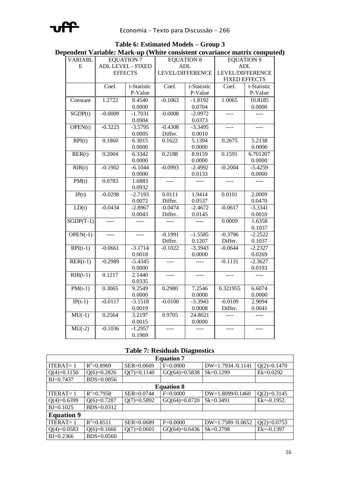

| pendent variable: Mark-up ( white consistent covariance matrix compute |           |                          |               |                   |                   |                         |  |  |  |
|------------------------------------------------------------------------|-----------|--------------------------|---------------|-------------------|-------------------|-------------------------|--|--|--|
| <b>VARIABL</b>                                                         |           | <b>EQUATION 7</b>        |               | <b>EQUATION 8</b> | <b>EQUATION 9</b> |                         |  |  |  |
| ${\bf E}$                                                              |           | <b>ADL LEVEL - FIXED</b> |               | <b>ADL</b>        |                   | <b>ADL</b>              |  |  |  |
|                                                                        |           | <b>EFFECTS</b>           |               | LEVEL/DIFFERENCE  |                   | <b>LEVEL/DIFFERENCE</b> |  |  |  |
|                                                                        |           |                          |               |                   |                   | <b>FIXED EFFECTS</b>    |  |  |  |
|                                                                        | Coef.     | t-Statistic              | Coef.         | t-Statistic       | Coef.             | t-Statistic             |  |  |  |
|                                                                        |           | P-Value                  |               | P-Value           |                   | P-Value                 |  |  |  |
| Constant                                                               | 1.2722    | 8.4540                   | $-0.1063$     | $-1.8192$         | 1.0065            | 10.8185                 |  |  |  |
|                                                                        |           | 0.0000                   |               | 0.0704            |                   | 0.0000                  |  |  |  |
| SGDP(t)                                                                | $-0.0009$ | $-1.7031$                | $-0.0008$     | $-2.0972$         | $\frac{1}{1}$     | $  -$                   |  |  |  |
|                                                                        |           | 0.0904                   |               | 0.0373            |                   |                         |  |  |  |
| OPEN(t)                                                                | $-0.3223$ | $-3.5795$                | $-0.4308$     | $-3.3495$         | $\frac{1}{2}$     | $\frac{1}{2}$           |  |  |  |
|                                                                        |           | 0.0005                   | Differ.       | 0.0010            |                   |                         |  |  |  |
| $\overline{RPI(t)}$                                                    | 0.1860    | 6.3015                   | 0.1622        | 5.1394            | 0.2675            | 5.2138                  |  |  |  |
|                                                                        |           | 0.0000                   |               | 0.0000            |                   | 0.0000                  |  |  |  |
| $\overline{\text{RER}(t)}$                                             | 0.2004    | 6.3342                   | 0.2188        | 8.9159            | 0.1591            | 6.701207                |  |  |  |
|                                                                        |           | 0.0000                   |               | 0.0000            |                   | 0.0000                  |  |  |  |
| $\mathbf{R} \mathbf{IR}(t)$                                            | $-0.1902$ | $-6.1044$                | $-0.0993$     | $-2.4992$         | $-0.2004$         | $-5.4259$               |  |  |  |
|                                                                        |           | 0.0000                   |               | 0.0133            |                   | 0.0000                  |  |  |  |
| PM(t)                                                                  | 0.0783    | 1.6883                   | $\frac{1}{2}$ | $\frac{1}{2}$     | <u></u>           | $---$                   |  |  |  |
|                                                                        |           | 0.0932                   |               |                   |                   |                         |  |  |  |
| IP(t)                                                                  | $-0.0298$ | $-2.7193$                | 0.0111        | 1.9414            | 0.0101            | 2.0009                  |  |  |  |
|                                                                        |           | 0.0072                   | Differ.       | 0.0537            |                   | 0.0470                  |  |  |  |
| LD(t)                                                                  | $-0.0434$ | $-2.8967$                | $-0.0474$     | $-2.4672$         | $-0.0617$         | $-3.3341$               |  |  |  |
|                                                                        |           | 0.0043                   | Differ.       | 0.0145            |                   | 0.0010                  |  |  |  |
| $SGDP(T-1)$                                                            |           |                          |               | $---$             | 0.0009            | 1.6358                  |  |  |  |
|                                                                        |           |                          |               |                   |                   | 0.1037                  |  |  |  |
| $OPEN(-1)$                                                             | $---$     | $\frac{1}{2}$            | $-0.1991$     | $-1.5585$         | $-0.3796$         | $-2.2522$               |  |  |  |
|                                                                        |           |                          | Differ.       | 0.1207            | Differ.           | 0.1037                  |  |  |  |
| $RPI(t-1)$                                                             | $-0.0661$ | $-3.1714$                | $-0.1022$     | $-3.3943$         | $-0.0644$         | $-2.2327$               |  |  |  |
|                                                                        |           | 0.0018                   |               | 0.0000            |                   | 0.0269                  |  |  |  |
| $RER(t-1)$                                                             | $-0.2989$ | $-5.4345$                | ----          |                   | $-0.1131$         | $-2.3627$               |  |  |  |
|                                                                        |           | 0.0000                   |               |                   |                   | 0.0193                  |  |  |  |
| $\overline{RIR(t-1)}$                                                  | 0.1217    | 2.1440                   | $\frac{1}{2}$ | $---$             | $- - - -$         |                         |  |  |  |
|                                                                        |           | 0.0335                   |               |                   |                   |                         |  |  |  |
| $PM(t-1)$                                                              | 0.3065    | 9.2549                   | 0.2980        | 7.2546            | 0.321955          | 6.6074                  |  |  |  |
|                                                                        |           | 0.0000                   |               | 0.0000            |                   | 0.0000                  |  |  |  |
| $IP(t-1)$                                                              | $-0.0117$ | $-3.1518$                | $-0.0100$     | $-3.3943$         | $-0.0109$         | 2.9094                  |  |  |  |
|                                                                        |           | 0.0019                   |               | 0.0008            | Differ.           | 0.0041                  |  |  |  |
| $MU(-1)$                                                               | 0.2564    | 3.2197                   | 0.9705        | 24.8021           |                   |                         |  |  |  |
|                                                                        |           | 0.0015                   |               | 0.0000            |                   |                         |  |  |  |
| $MU(-2)$                                                               | $-0.1036$ | $-1.2957$                | ----          |                   |                   |                         |  |  |  |
|                                                                        |           | 0.1969                   |               |                   |                   |                         |  |  |  |

#### **Table 6: Estimated Models – Group 3 Dependent Variable: Mark-up (White consistent covariance matrix computed)**

#### **Table 7: Residuals Diagnostics**

| <b>Equation 7</b> |                   |               |                 |                   |                |  |  |  |  |
|-------------------|-------------------|---------------|-----------------|-------------------|----------------|--|--|--|--|
| ITERAT $=$ 1      | $R^2 = 0.8969$    | SER=0.0669    | $F=0.0000$      | DW=1.7934 /0.1141 | $Q(2)=0.1470$  |  |  |  |  |
| $Q(4)=0.1150$     | $Q(6)=0.2826$     | $Q(7)=0.1140$ | $GQ(64)=0.5838$ | $Sk = 0.1299$     | $Ek=0.0292$    |  |  |  |  |
| $BJ = 0.7437$     | BDS=0.0856        |               |                 |                   |                |  |  |  |  |
|                   | <b>Equation 8</b> |               |                 |                   |                |  |  |  |  |
| $ITERAT = 1$      | $R^2 = 0.7958$    | SER=0.0744    | $F=0.0000$      | DW=1.8099/0.1460  | $Q(2)=0.3145$  |  |  |  |  |
| $Q(4)=0.6399$     | $Q(6)=0.7287$     | $Q(7)=0.5892$ | $GQ(64)=0.8720$ | $Sk = 0.3491$     | $Ek=0.1952$ .  |  |  |  |  |
| $BJ=0.1025$       | BDS=0.0312        |               |                 |                   |                |  |  |  |  |
| <b>Equation 9</b> |                   |               |                 |                   |                |  |  |  |  |
| $ITERAT = 1$      | $R^2 = 0.8511$    | SER=0.0689    | $F=0.0000$      | DW=1.7589 /0.0652 | $Q(2)=0.0753$  |  |  |  |  |
| $Q(4)=0.0583$     | $Q(6)=0.1666$     | $Q(7)=0.0601$ | $GQ(64)=0.6436$ | $Sk = 0.2798$     | $Ek = -0.1397$ |  |  |  |  |
| $BJ = 0.2366$     | $BDS=0.0560$      |               |                 |                   |                |  |  |  |  |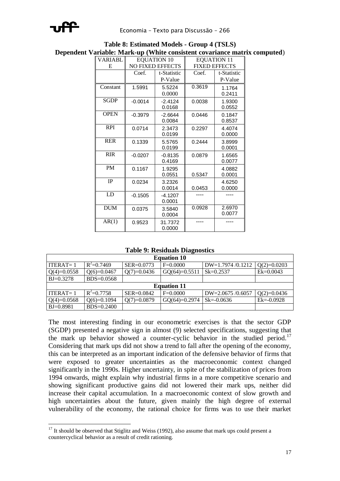

 $\overline{a}$ 

| <b>VARIABL</b> | $\cdots$ $\cdots$ | <b>EQUATION 10</b>      | <b>EQUATION 11</b><br><b>FIXED EFFECTS</b> |             |  |  |  |
|----------------|-------------------|-------------------------|--------------------------------------------|-------------|--|--|--|
| E              |                   | <b>NO FIXED EFFECTS</b> |                                            |             |  |  |  |
|                | Coef.             | t-Statistic             | Coef.                                      | t-Statistic |  |  |  |
|                |                   | P-Value                 |                                            | P-Value     |  |  |  |
| Constant       | 1.5991            | 5.5224                  | 0.3619                                     | 1.1764      |  |  |  |
|                |                   | 0.0000                  |                                            | 0.2411      |  |  |  |
| <b>SGDP</b>    | $-0.0014$         | $-2.4124$               | 0.0038                                     | 1.9300      |  |  |  |
|                |                   | 0.0168                  |                                            | 0.0552      |  |  |  |
| <b>OPEN</b>    | $-0.3979$         | $-2.6644$               | 0.0446                                     | 0.1847      |  |  |  |
|                |                   | 0.0084                  |                                            | 0.8537      |  |  |  |
| <b>RPI</b>     | 0.0714            | 2.3473                  | 0.2297                                     | 4.4074      |  |  |  |
|                |                   | 0.0199                  |                                            | 0.0000      |  |  |  |
| <b>RER</b>     | 0.1339            | 5.5765                  | 0.2444                                     | 3.8999      |  |  |  |
|                |                   | 0.0199                  |                                            | 0.0001      |  |  |  |
| <b>RIR</b>     | $-0.0207$         | $-0.8135$               | 0.0879                                     | 1.6565      |  |  |  |
|                |                   | 0.4169                  |                                            | 0.0077      |  |  |  |
| <b>PM</b>      | 0.1167            | 1.9295                  |                                            | 4.0882      |  |  |  |
|                |                   | 0.0551                  | 0.5347                                     | 0.0001      |  |  |  |
| IP             |                   |                         |                                            |             |  |  |  |
|                | 0.0234            | 3.2326                  |                                            | 4.6250      |  |  |  |
|                |                   | 0.0014                  | 0.0453                                     | 0.0000      |  |  |  |
| LD             | $-0.1505$         | $-4.1207$               |                                            |             |  |  |  |
|                |                   | 0.0001                  |                                            |             |  |  |  |
| <b>DUM</b>     | 0.0375            | 3.5840                  | 0.0928                                     | 2.6970      |  |  |  |
|                |                   | 0.0004                  |                                            | 0.0077      |  |  |  |
| AR(1)          | 0.9523            | 31.7372                 |                                            |             |  |  |  |
|                |                   | 0.0000                  |                                            |             |  |  |  |

**Table 8: Estimated Models - Group 4 (TSLS) Dependent Variable: Mark-up (White consistent covariance matrix computed**)

**Table 9: Residuals Diagnostics**

| <b>Equation 10</b> |                |                |                    |                    |                |  |  |  |  |
|--------------------|----------------|----------------|--------------------|--------------------|----------------|--|--|--|--|
| $ITERAT = 1$       | $R^2=0.7469$   | $SER = 0.0773$ | $F=0.0000$         | $DW=1.7974/0.1212$ | $Q(2)=0.0203$  |  |  |  |  |
| $Q(4)=0.0558$      | $Q(6)=0.0467$  | $Q(7)=0.0436$  | $GQ(64)=0.5511$    | $Sk = 0.2537$      | $Ek=0.0043$    |  |  |  |  |
| $B = 0.3278$       | $BDS=0.0568$   |                |                    |                    |                |  |  |  |  |
|                    |                |                | <b>Equation 11</b> |                    |                |  |  |  |  |
| ITERAT $=$ 1       | $R^2 = 0.7758$ | SER=0.0842     | $F=0.0000$         | $DW=2.0675/0.6057$ | $Q(2)=0.0436$  |  |  |  |  |
| $Q(4)=0.0568$      | $Q(6)=0.1094$  | $Q(7)=0.0879$  | $GQ(64)=0.2974$    | $Sk = -0.0636$     | $Ek = -0.0928$ |  |  |  |  |
| $BJ=0.8981$        | BDS=0.2400     |                |                    |                    |                |  |  |  |  |

The most interesting finding in our econometric exercises is that the sector GDP (SGDP) presented a negative sign in almost (9) selected specifications, suggesting that the mark up behavior showed a counter-cyclic behavior in the studied period.<sup>17</sup> Considering that mark ups did not show a trend to fall after the opening of the economy, this can be interpreted as an important indication of the defensive behavior of firms that were exposed to greater uncertainties as the macroeconomic context changed significantly in the 1990s. Higher uncertainty, in spite of the stabilization of prices from 1994 onwards, might explain why industrial firms in a more competitive scenario and showing significant productive gains did not lowered their mark ups, neither did increase their capital accumulation. In a macroeconomic context of slow growth and high uncertainties about the future, given mainly the high degree of external vulnerability of the economy, the rational choice for firms was to use their market

 $17$  It should be observed that Stiglitz and Weiss (1992), also assume that mark ups could present a countercyclical behavior as a result of credit rationing.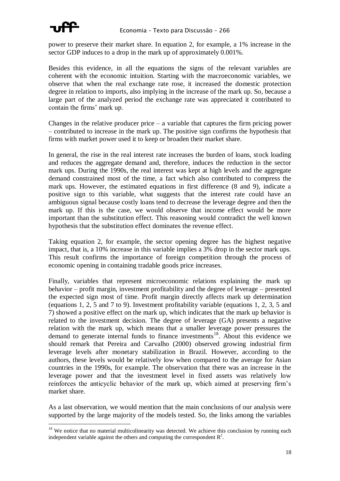

 $\overline{a}$ 

power to preserve their market share. In equation 2, for example, a 1% increase in the sector GDP induces to a drop in the mark up of approximately 0.001%.

Besides this evidence, in all the equations the signs of the relevant variables are coherent with the economic intuition. Starting with the macroeconomic variables, we observe that when the real exchange rate rose, it increased the domestic protection degree in relation to imports, also implying in the increase of the mark up. So, because a large part of the analyzed period the exchange rate was appreciated it contributed to contain the firms' mark up.

Changes in the relative producer price  $-$  a variable that captures the firm pricing power – contributed to increase in the mark up. The positive sign confirms the hypothesis that firms with market power used it to keep or broaden their market share.

In general, the rise in the real interest rate increases the burden of loans, stock loading and reduces the aggregate demand and, therefore, induces the reduction in the sector mark ups. During the 1990s, the real interest was kept at high levels and the aggregate demand constrained most of the time, a fact which also contributed to compress the mark ups. However, the estimated equations in first difference (8 and 9), indicate a positive sign to this variable, what suggests that the interest rate could have an ambiguous signal because costly loans tend to decrease the leverage degree and then the mark up. If this is the case, we would observe that income effect would be more important than the substitution effect. This reasoning would contradict the well known hypothesis that the substitution effect dominates the revenue effect.

Taking equation 2, for example, the sector opening degree has the highest negative impact, that is, a 10% increase in this variable implies a 3% drop in the sector mark ups. This result confirms the importance of foreign competition through the process of economic opening in containing tradable goods price increases.

Finally, variables that represent microeconomic relations explaining the mark up behavior – profit margin, investment profitability and the degree of leverage – presented the expected sign most of time. Profit margin directly affects mark up determination (equations 1, 2, 5 and 7 to 9). Investment profitability variable (equations 1, 2, 3, 5 and 7) showed a positive effect on the mark up, which indicates that the mark up behavior is related to the investment decision. The degree of leverage (GA) presents a negative relation with the mark up, which means that a smaller leverage power pressures the demand to generate internal funds to finance investments<sup>18</sup>. About this evidence we should remark that Pereira and Carvalho (2000) observed growing industrial firm leverage levels after monetary stabilization in Brazil. However, according to the authors, these levels would be relatively low when compared to the average for Asian countries in the 1990s, for example. The observation that there was an increase in the leverage power and that the investment level in fixed assets was relatively low reinforces the anticyclic behavior of the mark up, which aimed at preserving firm's market share.

As a last observation, we would mention that the main conclusions of our analysis were supported by the large majority of the models tested. So, the links among the variables

<sup>&</sup>lt;sup>18</sup> We notice that no material multicolinearity was detected. We achieve this conclusion by running each independent variable against the others and computing the correspondent  $\mathbb{R}^2$ .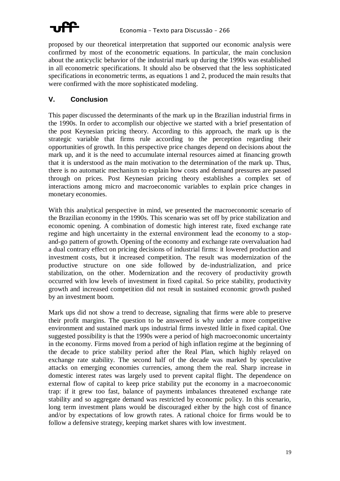

proposed by our theoretical interpretation that supported our economic analysis were confirmed by most of the econometric equations. In particular, the main conclusion about the anticyclic behavior of the industrial mark up during the 1990s was established in all econometric specifications. It should also be observed that the less sophisticated specifications in econometric terms, as equations 1 and 2, produced the main results that were confirmed with the more sophisticated modeling.

### **V. Conclusion**

This paper discussed the determinants of the mark up in the Brazilian industrial firms in the 1990s. In order to accomplish our objective we started with a brief presentation of the post Keynesian pricing theory. According to this approach, the mark up is the strategic variable that firms rule according to the perception regarding their opportunities of growth. In this perspective price changes depend on decisions about the mark up, and it is the need to accumulate internal resources aimed at financing growth that it is understood as the main motivation to the determination of the mark up. Thus, there is no automatic mechanism to explain how costs and demand pressures are passed through on prices. Post Keynesian pricing theory establishes a complex set of interactions among micro and macroeconomic variables to explain price changes in monetary economies.

With this analytical perspective in mind, we presented the macroeconomic scenario of the Brazilian economy in the 1990s. This scenario was set off by price stabilization and economic opening. A combination of domestic high interest rate, fixed exchange rate regime and high uncertainty in the external environment lead the economy to a stopand-go pattern of growth. Opening of the economy and exchange rate overvaluation had a dual contrary effect on pricing decisions of industrial firms: it lowered production and investment costs, but it increased competition. The result was modernization of the productive structure on one side followed by de-industrialization, and price stabilization, on the other. Modernization and the recovery of productivity growth occurred with low levels of investment in fixed capital. So price stability, productivity growth and increased competition did not result in sustained economic growth pushed by an investment boom.

Mark ups did not show a trend to decrease, signaling that firms were able to preserve their profit margins. The question to be answered is why under a more competitive environment and sustained mark ups industrial firms invested little in fixed capital. One suggested possibility is that the 1990s were a period of high macroeconomic uncertainty in the economy. Firms moved from a period of high inflation regime at the beginning of the decade to price stability period after the Real Plan, which highly relayed on exchange rate stability. The second half of the decade was marked by speculative attacks on emerging economies currencies, among them the real. Sharp increase in domestic interest rates was largely used to prevent capital flight. The dependence on external flow of capital to keep price stability put the economy in a macroeconomic trap: if it grew too fast, balance of payments imbalances threatened exchange rate stability and so aggregate demand was restricted by economic policy. In this scenario, long term investment plans would be discouraged either by the high cost of finance and/or by expectations of low growth rates. A rational choice for firms would be to follow a defensive strategy, keeping market shares with low investment.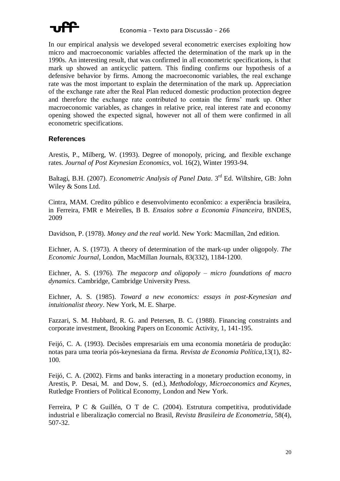

In our empirical analysis we developed several econometric exercises exploiting how micro and macroeconomic variables affected the determination of the mark up in the 1990s. An interesting result, that was confirmed in all econometric specifications, is that mark up showed an anticyclic pattern. This finding confirms our hypothesis of a defensive behavior by firms. Among the macroeconomic variables, the real exchange rate was the most important to explain the determination of the mark up. Appreciation of the exchange rate after the Real Plan reduced domestic production protection degree and therefore the exchange rate contributed to contain the firms' mark up. Other macroeconomic variables, as changes in relative price, real interest rate and economy opening showed the expected signal, however not all of them were confirmed in all econometric specifications.

#### **References**

Arestis, P., Milberg, W. (1993). Degree of monopoly, pricing, and flexible exchange rates. *Journal of Post Keynesian Economics*, vol. 16(2), Winter 1993-94.

Baltagi, B.H. (2007). *Econometric Analysis of Panel Data*. 3 rd Ed. Wiltshire, GB: John Wiley & Sons Ltd.

Cintra, MAM. Credito público e desenvolvimento econômico: a experiência brasileira, in Ferreira, FMR e Meirelles, B B. *Ensaios sobre a Economia Financeira*, BNDES, 2009

Davidson, P. (1978). *Money and the real wor*ld. New York: Macmillan, 2nd edition.

Eichner, A. S. (1973). A theory of determination of the mark-up under oligopoly. *The Economic Journal*, London, MacMillan Journals, 83(332), 1184-1200.

Eichner, A. S. (1976). *The megacorp and oligopoly – micro foundations of macro dynamics*. Cambridge, Cambridge University Press.

Eichner, A. S. (1985). *Toward a new economics: essays in post-Keynesian and intuitionalist theory*. New York, M. E. Sharpe.

Fazzari, S. M. Hubbard, R. G. and Petersen, B. C. (1988). Financing constraints and corporate investment, Brooking Papers on Economic Activity, 1, 141-195.

Feijó, C. A. (1993). Decisões empresariais em uma economia monetária de produção: notas para uma teoria pós-keynesiana da firma*. Revista de Economia Política*,13(1), 82- 100.

Feijó, C. A. (2002). Firms and banks interacting in a monetary production economy, in Arestis, P. Desai, M. and Dow, S. (ed.), *Methodology, Microeconomics and Keynes*, Rutledge Frontiers of Political Economy, London and New York.

Ferreira, P C & Guillén, O T de C. (2004). Estrutura competitiva, produtividade industrial e liberalização comercial no Brasil, *Revista Brasileira de Econometria*, 58(4), 507-32.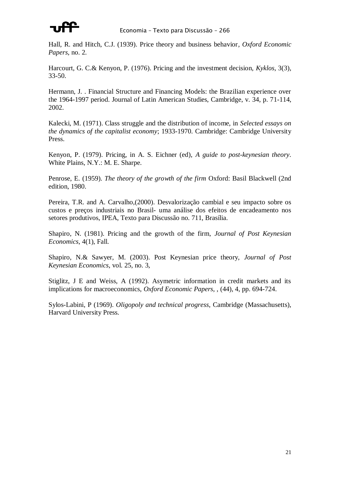

Hall, R. and Hitch, C.J. (1939). Price theory and business behavior*, Oxford Economic Papers*, no. 2.

Harcourt, G. C.& Kenyon, P. (1976). Pricing and the investment decision, *Kyklos*, 3(3), 33-50.

Hermann, J. . Financial Structure and Financing Models: the Brazilian experience over the 1964-1997 period. Journal of Latin American Studies, Cambridge, v. 34, p. 71-114, 2002.

Kalecki, M. (1971). Class struggle and the distribution of income, in *Selected essays on the dynamics of the capitalist economy*; 1933-1970. Cambridge: Cambridge University Press.

Kenyon, P. (1979). Pricing, in A. S. Eichner (ed), *A guide to post-keynesian theory*. White Plains, N.Y.: M. E. Sharpe.

Penrose, E. (1959). *The theory of the growth of the firm* Oxford: Basil Blackwell (2nd edition, 1980.

Pereira, T.R. and A. Carvalho,(2000). Desvalorização cambial e seu impacto sobre os custos e preços industriais no Brasil- uma análise dos efeitos de encadeamento nos setores produtivos, IPEA, Texto para Discussão no. 711, Brasília.

Shapiro, N. (1981). Pricing and the growth of the firm, *Journal of Post Keynesian Economics*, 4(1), Fall.

Shapiro, N.& Sawyer, M. (2003). Post Keynesian price theory, *Journal of Post Keynesian Economics*, vol. 25, no. 3,

Stiglitz, J E and Weiss, A (1992). Asymetric information in credit markets and its implications for macroeconomics, *Oxford Economic Papers*, , (44), 4, pp. 694-724.

Sylos-Labini, P (1969). *Oligopoly and technical progress*, Cambridge (Massachusetts), Harvard University Press.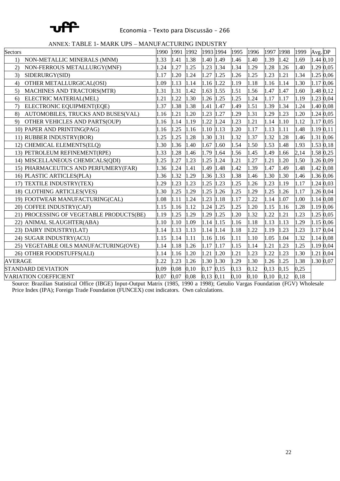

ANNEX: TABLE 1- MARK UPS – MANUFACTURING INDUSTRY

| Sectors                                  | 1990 | 1991 | 1992 | 1993 1994     |      | 1995 | 1996 | 1997 | 1998 | 1999 | Avg. DP      |
|------------------------------------------|------|------|------|---------------|------|------|------|------|------|------|--------------|
| NON-METALLIC MINERALS (MNM)<br>1)        | 1.33 | 1.41 | 1.38 | 1.40 1.49     |      | 1.46 | 1.40 | 1.39 | 1.42 | 1.69 | 1.44 0,10    |
| NON-FERROUS METALLURGY(MNF)<br>(2)       | l.24 | 1.27 | 1.25 | 1.23 1.34     |      | 1.34 | 1.29 | 1.28 | 1.26 | 1.40 | 1.29 0,05    |
| SIDERURGY(SID)<br>3)                     | 1.17 | 1.20 | 1.24 | 1.27          | 1.25 | 1.26 | 1.25 | 1.23 | 1.21 | 1.34 | 1.25<br>0,06 |
| OTHER METALLURGICAL(OSI)<br>4)           | 1.09 | 1.13 | 1.14 | 1.16 1.22     |      | 1.19 | 1.18 | 1.16 | 1.14 | 1.30 | 1.17<br>0,06 |
| MACHINES AND TRACTORS(MTR)<br>5)         | 1.31 | 1.31 | 1.42 | 1.63          | 1.55 | 1.51 | 1.56 | 1.47 | 1.47 | 1.60 | 1.48 0,12    |
| ELECTRIC MATERIAL(MEL)<br>6)             | 1.21 | 1.22 | 1.30 | 1.26 1.25     |      | 1.25 | 1.24 | 1.17 | 1.17 | 1.19 | 1.23 0,04    |
| ELECTRONIC EQUIPMENT(EQE)<br>7)          | 1.37 | 1.38 | 1.38 | 1.41 1.47     |      | 1.49 | 1.51 | 1.39 | 1.34 | 1.24 | 1.40 0,08    |
| AUTOMOBILES, TRUCKS AND BUSES(VAL)<br>8) | 1.16 | 1.21 | 1.20 | 1.23          | 1.27 | 1.29 | 1.31 | 1.29 | 1.23 | 1.20 | 1.24 0,05    |
| OTHER VEHICLES AND PARTS(OUP)<br>9)      | 1.16 | 1.14 | 1.19 | 1.22          | 1.24 | 1.23 | 1.21 | 1.14 | 1.10 | 1.12 | 1.17<br>0,05 |
| 10) PAPER AND PRINTING(PAG)              | 1.16 | 1.25 | 1.16 | 1.10 1.13     |      | 1.20 | 1.17 | 1.13 | 1.11 | 1.48 | 1.19 0,11    |
| 11) RUBBER INDUSTRY(BOR)                 | 1.25 | 1.25 | 1.28 | 1.30 1.31     |      | 1.32 | 1.37 | 1.32 | 1.28 | 1.46 | 1.31<br>0,06 |
| 12) CHEMICAL ELEMENTS(ELQ)               | 1.30 | 1.36 | 1.40 | 1.67 1.60     |      | 1.54 | 1.50 | 1.53 | 1.48 | 1.93 | 1.53 0,18    |
| 13) PETROLEUM REFINEMENT(RPE)            | 1.33 | 1.28 | 1.46 | 1.79 1.64     |      | 1.56 | 1.45 | 1.49 | 1.66 | 2,14 | 1.58 0,25    |
| 14) MISCELLANEOUS CHEMICALS(QDI)         | 1.25 | 1.27 | 1.23 | 1.25 1.24     |      | 1.21 | 1.27 | 1.21 | 1.20 | 1.50 | 1.26 0,09    |
| 15) PHARMACEUTICS AND PERFUMERY(FAR)     | 1.36 | 1.24 | 1.41 | 1.49          | 1.48 | 1.42 | 1.39 | 1.47 | 1.49 | 1.48 | 1.42 0,08    |
| 16) PLASTIC ARTICLES(PLA)                | 1.36 | 1.32 | 1.29 | 1.36          | 1.33 | 1.38 | 1.46 | 1.30 | 1.30 | 1.46 | 1.36 0,06    |
| TEXTILE INDUSTRY(TEX)                    | .29  | 1.23 | 1.23 | 1.25          | 1.23 | 1.25 | 1.26 | 1.23 | 1.19 | 1.17 | 1.24 0,03    |
| 18) CLOTHING ARTICLES(VES)               | 1.30 | 1.25 | 1.29 | 1.25          | 1.26 | 1.25 | 1.29 | 1.25 | 1.26 | 1.17 | 1.26 0,04    |
| 19) FOOTWEAR MANUFACTURING(CAL)          | 1.08 | 1.11 | 1.24 | 1.23          | 1.18 | 1.17 | 1.22 | 1.14 | 1.07 | 1.00 | 1.14 0,08    |
| 20) COFFEE INDUSTRY(CAF)                 | 1.15 | 1.16 | 1.12 | 1.24          | 1.25 | 1.25 | 1.20 | 1.15 | 1.16 | 1.28 | 1.19 0,06    |
| 21) PROCESSING OF VEGETABLE PRODUCTS(BE) | 1.19 | 1.25 | 1.29 | 1.29          | 1.25 | 1.20 | 1.32 | 1.22 | 1.21 | 1.23 | 1.25<br>0,05 |
| ANIMAL SLAUGHTER(ABA)                    | 1.10 | 1.10 | 1.09 | 1.14 1.15     |      | 1.16 | 1.18 | 1.13 | 1.13 | 1.29 | 1.15<br>0,06 |
| 23) DAIRY INDUSTRY(LAT)                  | 1.14 | 1.13 | 1.13 | 1.14 1.14     |      | 1.18 | 1.22 | 1.19 | 1.23 | 1.23 | 1.17<br>0,04 |
| 24) SUGAR INDUSTRY(ACU)                  | 1.15 | 1.14 | 1.11 | 1.16 1.16     |      | 1.11 | 1.10 | 1.05 | 1.04 | 1.32 | 1.14 0,08    |
| 25) VEGETABLE OILS MANUFACTURING(OVE)    | 1.14 | 1.18 | 1.26 | 1.17          | 1.17 | 1.15 | 1.14 | 1.21 | 1.23 | 1.25 | 1.19 0,04    |
| 26) OTHER FOODSTUFFS(ALI)                | 1.14 | 1.16 | 1.20 | 1.21          | 1.20 | 1.21 | 1.23 | 1.22 | 1.23 | 1.30 | 1.21<br>0,04 |
| <b>AVERAGE</b>                           | 1.22 | 1.23 | 1.26 | 1.30 1.30     |      | 1.29 | 1.30 | 1.26 | 1.25 | 1.38 | 1.30 0,07    |
| <b>STANDARD DEVIATION</b>                | 0.09 | 0,08 | 0,10 | 0,17          | 0,15 | 0,13 | 0,12 | 0,13 | 0,15 | 0,25 |              |
| <b>VARIATION COEFFICIENT</b>             | 0.07 | 0,07 | 0,08 | $0,13$ $0,11$ |      | 0,10 | 0,10 | 0.10 | 0,12 | 0,18 |              |

Source: Brazilian Statistical Office (IBGE) Input-Output Matrix (1985, 1990 a 1998); Getulio Vargas Foundation (FGV) Wholesale Price Index (IPA); Foreign Trade Foundation (FUNCEX) cost indicators. Own calculations.